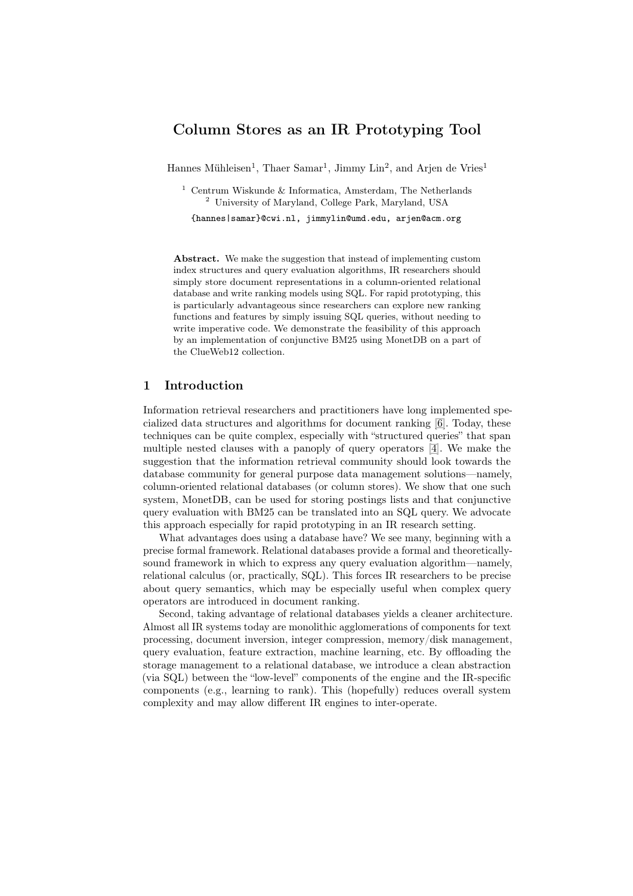# Column Stores as an IR Prototyping Tool

Hannes Mühleisen<sup>1</sup>, Thaer Samar<sup>1</sup>, Jimmy Lin<sup>2</sup>, and Arjen de Vries<sup>1</sup>

 $^1\,$  Centrum Wiskunde & Informatica, Amsterdam, The Netherlands <sup>2</sup> University of Maryland, College Park, Maryland, USA

{hannes|samar}@cwi.nl, jimmylin@umd.edu, arjen@acm.org

Abstract. We make the suggestion that instead of implementing custom index structures and query evaluation algorithms, IR researchers should simply store document representations in a column-oriented relational database and write ranking models using SQL. For rapid prototyping, this is particularly advantageous since researchers can explore new ranking functions and features by simply issuing SQL queries, without needing to write imperative code. We demonstrate the feasibility of this approach by an implementation of conjunctive BM25 using MonetDB on a part of the ClueWeb12 collection.

## 1 Introduction

Information retrieval researchers and practitioners have long implemented specialized data structures and algorithms for document ranking [\[6\]](#page-3-0). Today, these techniques can be quite complex, especially with "structured queries" that span multiple nested clauses with a panoply of query operators [\[4\]](#page-3-1). We make the suggestion that the information retrieval community should look towards the database community for general purpose data management solutions—namely, column-oriented relational databases (or column stores). We show that one such system, MonetDB, can be used for storing postings lists and that conjunctive query evaluation with BM25 can be translated into an SQL query. We advocate this approach especially for rapid prototyping in an IR research setting.

What advantages does using a database have? We see many, beginning with a precise formal framework. Relational databases provide a formal and theoreticallysound framework in which to express any query evaluation algorithm—namely, relational calculus (or, practically, SQL). This forces IR researchers to be precise about query semantics, which may be especially useful when complex query operators are introduced in document ranking.

Second, taking advantage of relational databases yields a cleaner architecture. Almost all IR systems today are monolithic agglomerations of components for text processing, document inversion, integer compression, memory/disk management, query evaluation, feature extraction, machine learning, etc. By offloading the storage management to a relational database, we introduce a clean abstraction (via SQL) between the "low-level" components of the engine and the IR-specific components (e.g., learning to rank). This (hopefully) reduces overall system complexity and may allow different IR engines to inter-operate.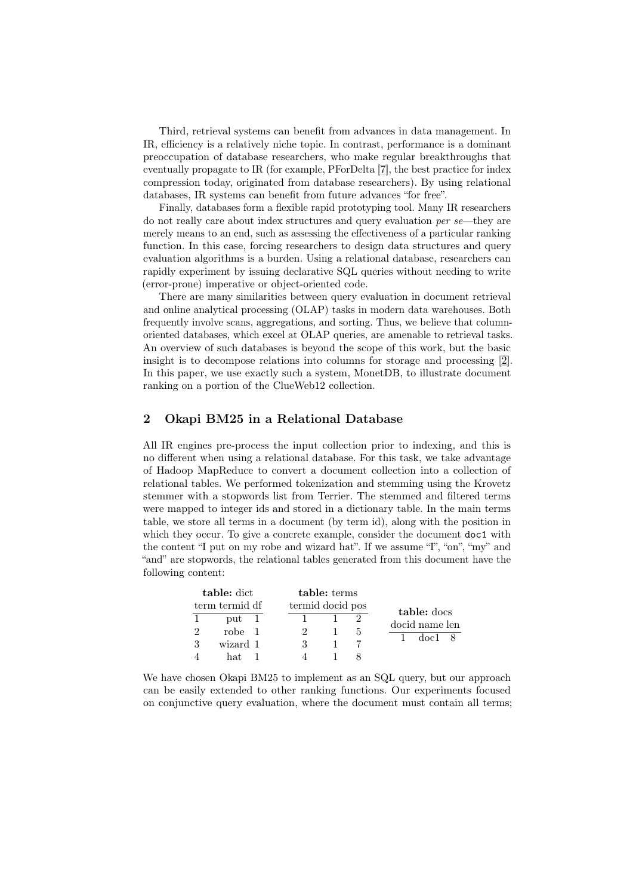Third, retrieval systems can benefit from advances in data management. In IR, efficiency is a relatively niche topic. In contrast, performance is a dominant preoccupation of database researchers, who make regular breakthroughs that eventually propagate to IR (for example, PForDelta [\[7\]](#page-3-2), the best practice for index compression today, originated from database researchers). By using relational databases, IR systems can benefit from future advances "for free".

Finally, databases form a flexible rapid prototyping tool. Many IR researchers do not really care about index structures and query evaluation per se—they are merely means to an end, such as assessing the effectiveness of a particular ranking function. In this case, forcing researchers to design data structures and query evaluation algorithms is a burden. Using a relational database, researchers can rapidly experiment by issuing declarative SQL queries without needing to write (error-prone) imperative or object-oriented code.

There are many similarities between query evaluation in document retrieval and online analytical processing (OLAP) tasks in modern data warehouses. Both frequently involve scans, aggregations, and sorting. Thus, we believe that columnoriented databases, which excel at OLAP queries, are amenable to retrieval tasks. An overview of such databases is beyond the scope of this work, but the basic insight is to decompose relations into columns for storage and processing [\[2\]](#page-3-3). In this paper, we use exactly such a system, MonetDB, to illustrate document ranking on a portion of the ClueWeb12 collection.

#### 2 Okapi BM25 in a Relational Database

All IR engines pre-process the input collection prior to indexing, and this is no different when using a relational database. For this task, we take advantage of Hadoop MapReduce to convert a document collection into a collection of relational tables. We performed tokenization and stemming using the Krovetz stemmer with a stopwords list from Terrier. The stemmed and filtered terms were mapped to integer ids and stored in a dictionary table. In the main terms table, we store all terms in a document (by term id), along with the position in which they occur. To give a concrete example, consider the document doc1 with the content "I put on my robe and wizard hat". If we assume "I", "on", "my" and "and" are stopwords, the relational tables generated from this document have the following content:

| table: dict    |          |  |                  | table: terms |  |                |
|----------------|----------|--|------------------|--------------|--|----------------|
| term termid df |          |  | termid docid pos |              |  | table: docs    |
|                | put 1    |  |                  |              |  | docid name len |
|                | robe 1   |  |                  |              |  | $doc1 - 8$     |
|                | wizard 1 |  |                  |              |  |                |
|                | hat.     |  |                  |              |  |                |

We have chosen Okapi BM25 to implement as an SQL query, but our approach can be easily extended to other ranking functions. Our experiments focused on conjunctive query evaluation, where the document must contain all terms;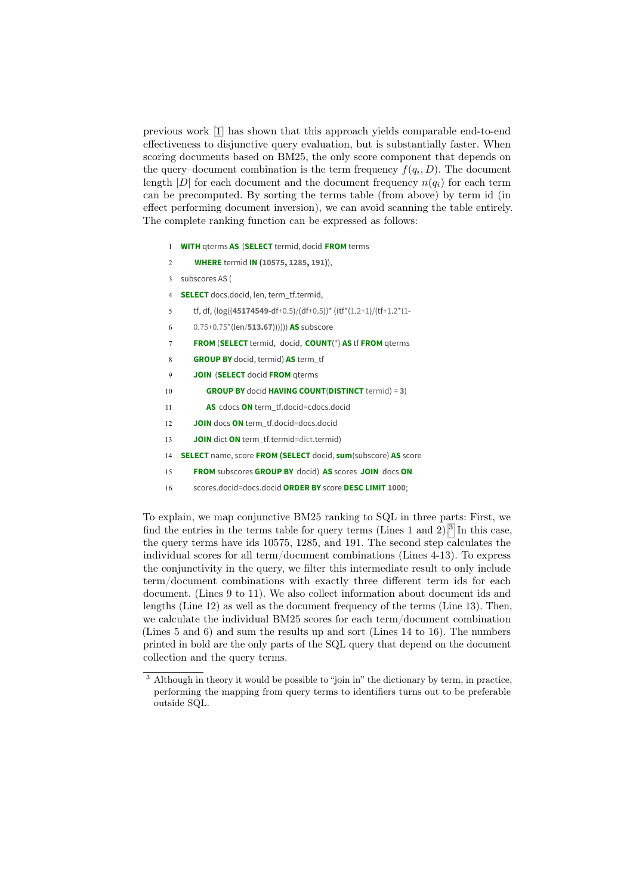previous work [\[1\]](#page-3-4) has shown that this approach yields comparable end-to-end effectiveness to disjunctive query evaluation, but is substantially faster. When scoring documents based on BM25, the only score component that depends on the query-document combination is the term frequency  $f(q_i, D)$ . The document length |D| for each document and the document frequency  $n(q_i)$  for each term can be precomputed. By sorting the terms table (from above) by term id (in effect performing document inversion), we can avoid scanning the table entirely. The complete ranking function can be expressed as follows:

- **WITH** qterms **AS** (**SELECT** termid, docid **FROM** terms 1
- **WHERE** termid **IN (10575, 1285, 191)**), 2
- subscores AS ( 3
- **SELECT** docs.docid, len, term\_tf.termid, 4
- tf, df, (log((**45174549**-df+0.5)/(df+0.5))\* ((tf\*(1.2+1)/(tf+1.2\*(1- 5
- 0.75+0.75\*(len/**513.67**)))))) **AS** subscore 6
- **FROM** (**SELECT** termid, docid, **COUNT**(\*) **AS** tf **FROM** qterms 7
- **GROUP BY** docid, termid) **AS** term\_tf 8
- **JOIN** (**SELECT** docid **FROM** qterms  $\mathbf Q$
- **GROUP BY** docid **HAVING COUNT**(**DISTINCT** termid) = **3**) 10
- **AS** cdocs **ON** term\_tf.docid=cdocs.docid 11
- **JOIN** docs **ON** term\_tf.docid=docs.docid 12
- **JOIN** dict **ON** term tf.termid=dict.termid) 13
- **SELECT** name, score **FROM (SELECT** docid, **sum**(subscore) **AS** score 14
- **FROM** subscores **GROUP BY** docid) **AS** scores **JOIN** docs **ON** 15
- scores.docid=docs.docid **ORDER BY** score **DESC LIMIT 1000**; 16

To explain, we map conjunctive BM25 ranking to SQL in three parts: First, we find the entries in the terms table for query terms (Lines 1 and 2).<sup>[3](#page-2-0)</sup> In this case, the query terms have ids 10575, 1285, and 191. The second step calculates the individual scores for all term/document combinations (Lines 4-13). To express the conjunctivity in the query, we filter this intermediate result to only include term/document combinations with exactly three different term ids for each document. (Lines 9 to 11). We also collect information about document ids and lengths (Line 12) as well as the document frequency of the terms (Line 13). Then, we calculate the individual BM25 scores for each term/document combination (Lines 5 and 6) and sum the results up and sort (Lines 14 to 16). The numbers printed in bold are the only parts of the SQL query that depend on the document collection and the query terms.

<span id="page-2-0"></span> $\frac{3}{3}$  Although in theory it would be possible to "join in" the dictionary by term, in practice, performing the mapping from query terms to identifiers turns out to be preferable outside SQL.